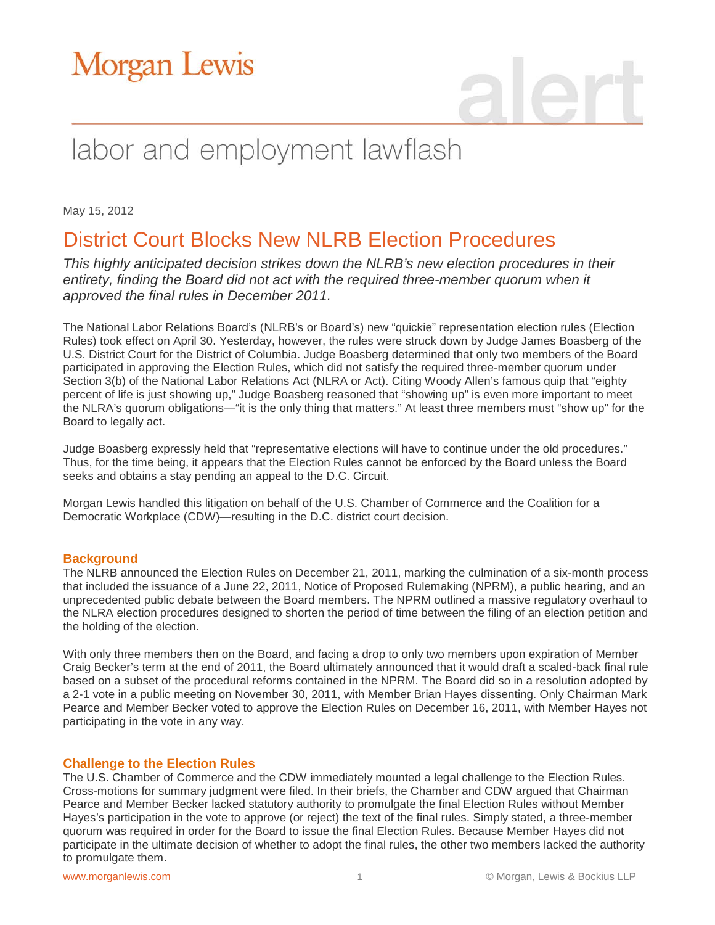# Morgan Lewis

# labor and employment lawflash

May 15, 2012

### District Court Blocks New NLRB Election Procedures

*This highly anticipated decision strikes down the NLRB's new election procedures in their*  entirety, finding the Board did not act with the required three-member quorum when it *approved the final rules in December 2011.*

The National Labor Relations Board's (NLRB's or Board's) new "quickie" representation election rules (Election Rules) took effect on April 30. Yesterday, however, the rules were struck down by Judge James Boasberg of the U.S. District Court for the District of Columbia. Judge Boasberg determined that only two members of the Board participated in approving the Election Rules, which did not satisfy the required three-member quorum under Section 3(b) of the National Labor Relations Act (NLRA or Act). Citing Woody Allen's famous quip that "eighty percent of life is just showing up," Judge Boasberg reasoned that "showing up" is even more important to meet the NLRA's quorum obligations—"it is the only thing that matters." At least three members must "show up" for the Board to legally act.

Judge Boasberg expressly held that "representative elections will have to continue under the old procedures." Thus, for the time being, it appears that the Election Rules cannot be enforced by the Board unless the Board seeks and obtains a stay pending an appeal to the D.C. Circuit.

Morgan Lewis handled this litigation on behalf of the U.S. Chamber of Commerce and the Coalition for a Democratic Workplace (CDW)—resulting in the D.C. district court decision.

#### **Background**

The NLRB announced the Election Rules on December 21, 2011, marking the culmination of a six-month process that included the issuance of a June 22, 2011, Notice of Proposed Rulemaking (NPRM), a public hearing, and an unprecedented public debate between the Board members. The NPRM outlined a massive regulatory overhaul to the NLRA election procedures designed to shorten the period of time between the filing of an election petition and the holding of the election.

With only three members then on the Board, and facing a drop to only two members upon expiration of Member Craig Becker's term at the end of 2011, the Board ultimately announced that it would draft a scaled-back final rule based on a subset of the procedural reforms contained in the NPRM. The Board did so in a resolution adopted by a 2-1 vote in a public meeting on November 30, 2011, with Member Brian Hayes dissenting. Only Chairman Mark Pearce and Member Becker voted to approve the Election Rules on December 16, 2011, with Member Hayes not participating in the vote in any way.

#### **Challenge to the Election Rules**

The U.S. Chamber of Commerce and the CDW immediately mounted a legal challenge to the Election Rules. Cross-motions for summary judgment were filed. In their briefs, the Chamber and CDW argued that Chairman Pearce and Member Becker lacked statutory authority to promulgate the final Election Rules without Member Hayes's participation in the vote to approve (or reject) the text of the final rules. Simply stated, a three-member quorum was required in order for the Board to issue the final Election Rules. Because Member Hayes did not participate in the ultimate decision of whether to adopt the final rules, the other two members lacked the authority to promulgate them.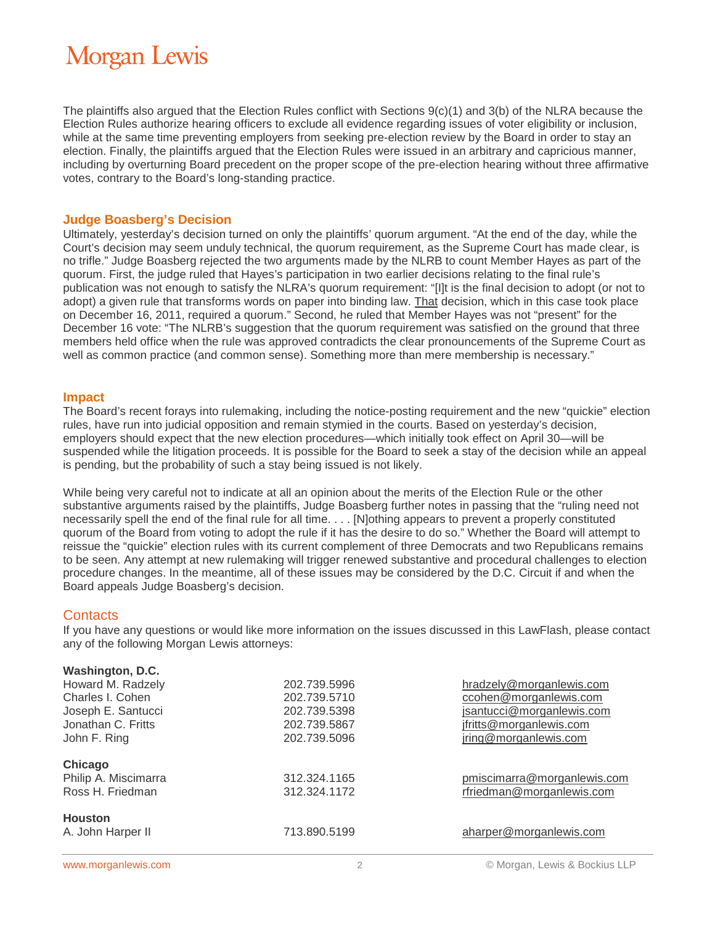# **Morgan Lewis**

The plaintiffs also argued that the Election Rules conflict with Sections 9(c)(1) and 3(b) of the NLRA because the Election Rules authorize hearing officers to exclude all evidence regarding issues of voter eligibility or inclusion, while at the same time preventing employers from seeking pre-election review by the Board in order to stay an election. Finally, the plaintiffs argued that the Election Rules were issued in an arbitrary and capricious manner, including by overturning Board precedent on the proper scope of the pre-election hearing without three affirmative votes, contrary to the Board's long-standing practice.

#### **Judge Boasberg's Decision**

Ultimately, yesterday's decision turned on only the plaintiffs' quorum argument. "At the end of the day, while the Court's decision may seem unduly technical, the quorum requirement, as the Supreme Court has made clear, is no trifle." Judge Boasberg rejected the two arguments made by the NLRB to count Member Hayes as part of the quorum. First, the judge ruled that Hayes's participation in two earlier decisions relating to the final rule's publication was not enough to satisfy the NLRA's quorum requirement: "[I]t is the final decision to adopt (or not to adopt) a given rule that transforms words on paper into binding law. That decision, which in this case took place on December 16, 2011, required a quorum." Second, he ruled that Member Hayes was not "present" for the December 16 vote: "The NLRB's suggestion that the quorum requirement was satisfied on the ground that three members held office when the rule was approved contradicts the clear pronouncements of the Supreme Court as well as common practice (and common sense). Something more than mere membership is necessary."

#### **Impact**

The Board's recent forays into rulemaking, including the notice-posting requirement and the new "quickie" election rules, have run into judicial opposition and remain stymied in the courts. Based on yesterday's decision, employers should expect that the new election procedures—which initially took effect on April 30—will be suspended while the litigation proceeds. It is possible for the Board to seek a stay of the decision while an appeal is pending, but the probability of such a stay being issued is not likely.

While being very careful not to indicate at all an opinion about the merits of the Election Rule or the other substantive arguments raised by the plaintiffs, Judge Boasberg further notes in passing that the "ruling need not necessarily spell the end of the final rule for all time. . . . [N]othing appears to prevent a properly constituted quorum of the Board from voting to adopt the rule if it has the desire to do so." Whether the Board will attempt to reissue the "quickie" election rules with its current complement of three Democrats and two Republicans remains to be seen. Any attempt at new rulemaking will trigger renewed substantive and procedural challenges to election procedure changes. In the meantime, all of these issues may be considered by the D.C. Circuit if and when the Board appeals Judge Boasberg's decision.

#### **Contacts**

If you have any questions or would like more information on the issues discussed in this LawFlash, please contact any of the following Morgan Lewis attorneys:

| Washington, D.C.     |              |                             |
|----------------------|--------------|-----------------------------|
| Howard M. Radzely    | 202.739.5996 | hradzely@morganlewis.com    |
| Charles I. Cohen     | 202.739.5710 | ccohen@morganlewis.com      |
| Joseph E. Santucci   | 202.739.5398 | jsantucci@morganlewis.com   |
| Jonathan C. Fritts   | 202.739.5867 | jfritts@morganlewis.com     |
| John F. Ring         | 202.739.5096 | jring@morganlewis.com       |
| Chicago              |              |                             |
| Philip A. Miscimarra | 312.324.1165 | pmiscimarra@morganlewis.com |
| Ross H. Friedman     | 312.324.1172 | rfriedman@morganlewis.com   |
| <b>Houston</b>       |              |                             |
| A. John Harper II    | 713.890.5199 | aharper@morganlewis.com     |
|                      |              |                             |